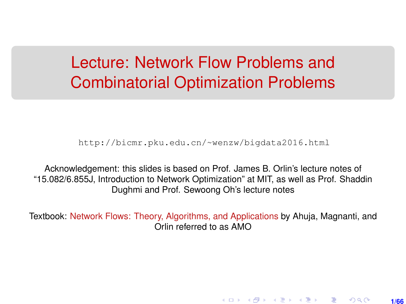# Lecture: Network Flow Problems and Combinatorial Optimization Problems

[http://bicmr.pku.edu.cn/~wenzw/bigdata2016.html](http://bicmr.pku.edu.cn/~wenzw/bigdata2016.html )

Acknowledgement: this slides is based on Prof. James B. Orlin's lecture notes of "15.082/6.855J, Introduction to Network Optimization" at MIT, as well as Prof. Shaddin Dughmi and Prof. Sewoong Oh's lecture notes

Textbook: Network Flows: Theory, Algorithms, and Applications by Ahuja, Magnanti, and Orlin referred to as AMO

**1/66**

K ロ ▶ K 레 ▶ K 회 ▶ K 회 ▶ │ 회 │ ⊙ Q Q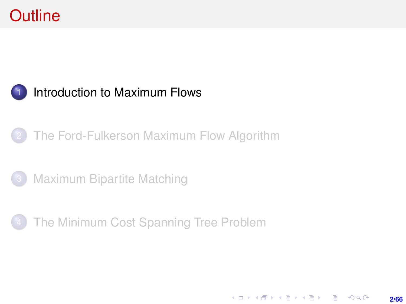## <span id="page-1-0"></span>**Outline**

#### [Introduction to Maximum Flows](#page-1-0)

#### [The Ford-Fulkerson Maximum Flow Algorithm](#page-9-0)

- **[Maximum Bipartite Matching](#page-36-0)**
- [The Minimum Cost Spanning Tree Problem](#page-55-0)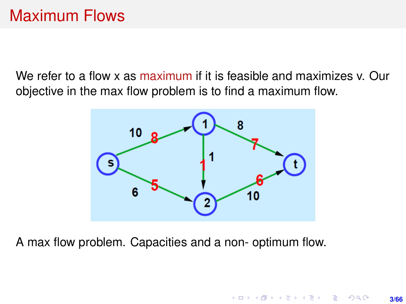## Maximum Flows

We refer to a flow x as maximum if it is feasible and maximizes v. Our objective in the max flow problem is to find a maximum flow.



A max flow problem. Capacities and a non- optimum flow.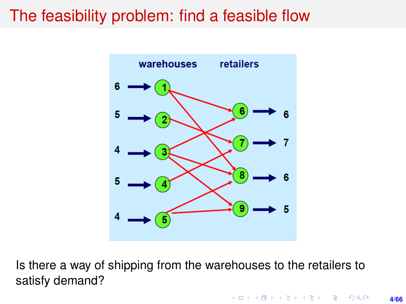### The feasibility problem: find a feasible flow



Is there a way of shipping from the warehouses to the retailers to satisfy demand?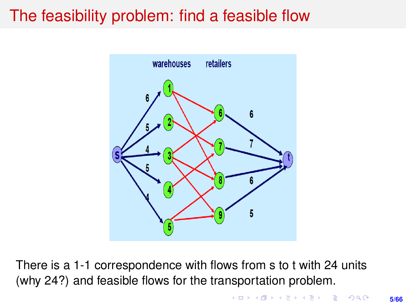## <span id="page-4-0"></span>The feasibility problem: find a feasible flow



There is a 1-1 correspondence with flows from s to t with 24 units (why 24?) and feasible flows for the transportation problem.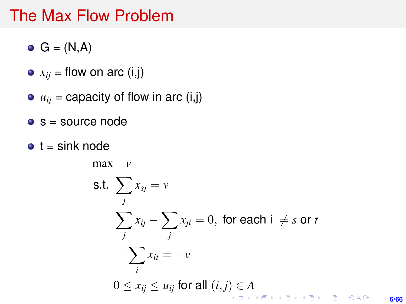#### The Max Flow Problem

- $\bullet$  G = (N,A)
- $\bullet$   $x_{ii}$  = flow on arc (i,j)
- $u_{ij}$  = capacity of flow in arc (i,j)
- $s =$  source node
- $\bullet$  t = sink node

max *v*

$$
\begin{aligned}\n\text{S.t. } & \sum_{j} x_{sj} = v \\
& \sum_{j} x_{ij} - \sum_{j} x_{ji} = 0, \text{ for each } i \neq s \text{ or } t \\
& - \sum_{i} x_{it} = -v \\
0 \le x_{ij} \le u_{ij} \text{ for all } (i,j) \in A \\
& \text{for all } (i,j) \in A \\
& \text{for all } (i,j) \in A, \text{ for all } (i,j) \in A, \text{ for all } (i,j) \in A.\n\end{aligned}
$$

**6/66**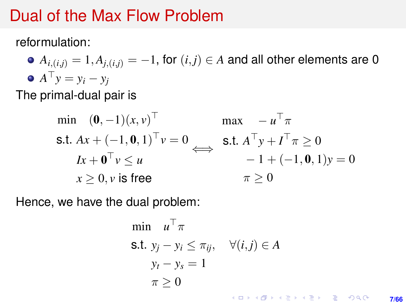#### <span id="page-6-0"></span>Dual of the Max Flow Problem

reformulation:

•  $A_{i,(i,j)} = 1, A_{i,(i,j)} = -1$ , for  $(i,j) \in A$  and all other elements are 0  $A^{\top} y = y_i - y_j$ 

The primal-dual pair is

$$
\begin{array}{ll}\n\min & (\mathbf{0}, -1)(x, v)^\top & \max & -u^\top \pi \\
\text{s.t. } Ax + (-1, \mathbf{0}, 1)^\top v = 0 & \Longleftrightarrow & \text{s.t. } A^\top y + I^\top \pi \ge 0 \\
& Ix + \mathbf{0}^\top v \le u & -1 + (-1, \mathbf{0}, 1)y = 0 \\
& x \ge 0, v \text{ is free} & \pi \ge 0\n\end{array}
$$

Hence, we have the dual problem:

$$
\begin{aligned}\n\min \quad & u^\top \pi \\
\text{s.t. } & y_j - y_i \le \pi_{ij}, \quad \forall (i, j) \in A \\
& y_t - y_s = 1 \\
& \pi \ge 0\n\end{aligned}
$$

**7/66**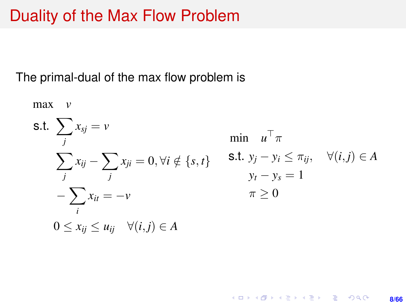#### Duality of the Max Flow Problem

The primal-dual of the max flow problem is

max *v* s.t.  $\sum$ *j*  $x_{sj} = v$  $\sum$ *j*  $x_{ij} - \sum$ *j*  $x_{ji} = 0, \forall i \notin \{s, t\}$ − X *i*  $x_{it} = -v$  $0 \leq x_{ii} \leq u_{ii} \quad \forall (i, j) \in A$ min  $u^{\top} \pi$ s.t. *y<sub>i</sub>* − *y<sub>i</sub>* ≤  $\pi_{ij}$ ,  $\forall$  (*i*, *j*) ∈ *A*  $y_t - y_s = 1$  $\pi > 0$ 

> KORK (FIRKER EN DE ROACH **8/66**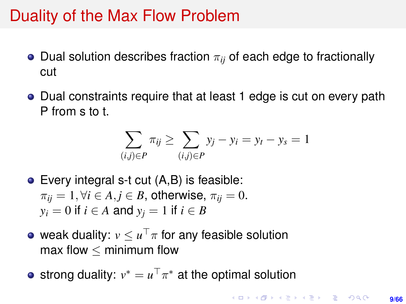#### Duality of the Max Flow Problem

- **•** Dual solution describes fraction  $\pi_{ij}$  of each edge to fractionally cut
- Dual constraints require that at least 1 edge is cut on every path P from s to t.

$$
\sum_{(i,j)\in P} \pi_{ij} \ge \sum_{(i,j)\in P} y_j - y_i = y_t - y_s = 1
$$

- Every integral s-t cut (A,B) is feasible:  $\pi_{ii} = 1, \forall i \in A, j \in B$ , otherwise,  $\pi_{ii} = 0$ .  $y_i = 0$  if  $i \in A$  and  $y_j = 1$  if  $i \in B$
- weak duality:  $v\leq u^\top \pi$  for any feasible solution max flow  $\leq$  minimum flow
- strong duality:  $v^* = u^\top \pi^*$  at the optimal solution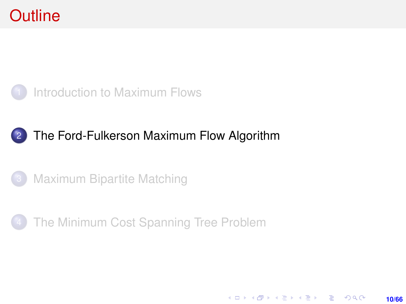### <span id="page-9-0"></span>**Outline**



#### 2 [The Ford-Fulkerson Maximum Flow Algorithm](#page-9-0)





**10/66**

KO KARK KEK LE KORA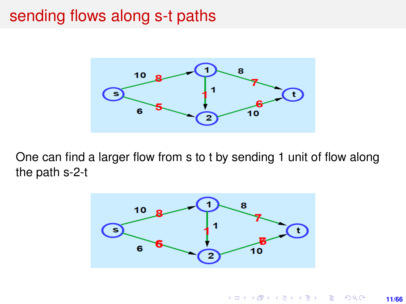### <span id="page-10-0"></span>sending flows along s-t paths



One can find a larger flow from s to t by sending 1 unit of flow along the path s-2-t

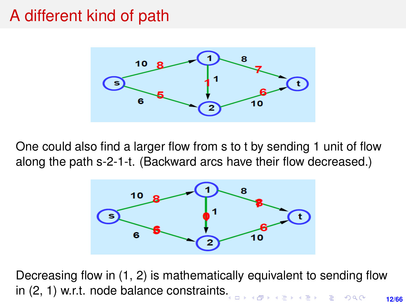### A different kind of path



One could also find a larger flow from s to t by sending 1 unit of flow along the path s-2-1-t. (Backward arcs have their flow decreased.)



Decreasing flow in (1, 2) is mathematically equivalent to sending flow in (2, 1) w.r.t. node balance constraint[s.](#page-10-0).<br>Let a represent the part of the second in the second of the second in the second of the second in the second in the second in the second in the second in the second in the second in the second in the second in the second **12/66**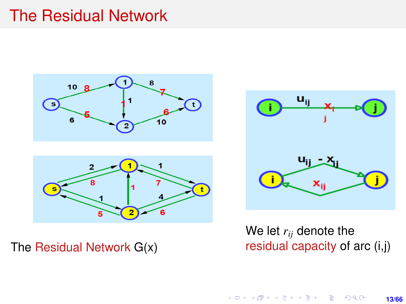#### The Residual Network



The Residual Network G(x)



We let *rij* denote the residual capacity of arc (i,j)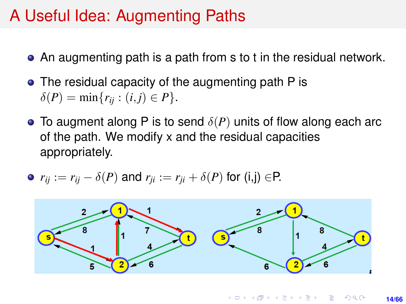## A Useful Idea: Augmenting Paths

- An augmenting path is a path from s to t in the residual network.
- The residual capacity of the augmenting path P is  $\delta(P) = \min\{r_{ii} : (i, j) \in P\}.$
- **•** To augment along P is to send  $\delta(P)$  units of flow along each arc of the path. We modify x and the residual capacities appropriately.

• 
$$
r_{ij} := r_{ij} - \delta(P)
$$
 and  $r_{ji} := r_{ji} + \delta(P)$  for (i,j)  $\in$ P.

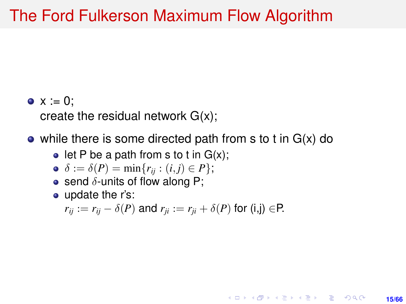#### The Ford Fulkerson Maximum Flow Algorithm

•  $x := 0$ ;

create the residual network G(x);

• while there is some directed path from s to t in  $G(x)$  do

 $\bullet$  let P be a path from s to t in  $G(x)$ ;

$$
\bullet \ \delta := \delta(P) = \min\{r_{ij} : (i,j) \in P\};
$$

- **•** send  $\delta$ -units of flow along P;
- update the r's:

 $r_{ii} := r_{ii} - \delta(P)$  and  $r_{ii} := r_{ii} + \delta(P)$  for (i,j) ∈P.

**15/66**

KORK ERKER ERKER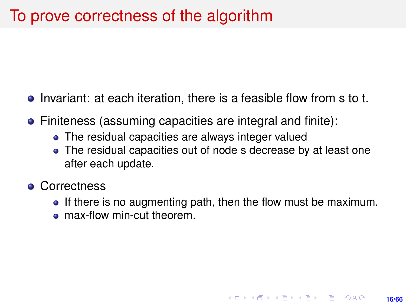- Invariant: at each iteration, there is a feasible flow from s to t.
- Finiteness (assuming capacities are integral and finite):
	- The residual capacities are always integer valued
	- The residual capacities out of node s decrease by at least one after each update.
- **Correctness** 
	- If there is no augmenting path, then the flow must be maximum.

**16/66**

**KORKARK A BIK BIKA A GA A GA A GA A BIKA A BIKA A BIKA A BIKA A BIKA A BIKA A BIKA A BIKA A BIKA A BIKA A BIKA** 

• max-flow min-cut theorem.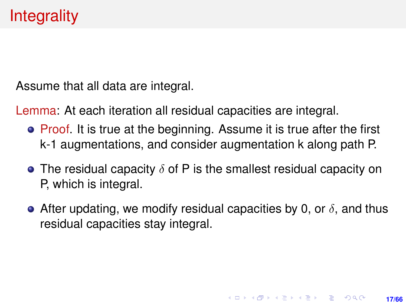Assume that all data are integral.

Lemma: At each iteration all residual capacities are integral.

- Proof. It is true at the beginning. Assume it is true after the first k-1 augmentations, and consider augmentation k along path P.
- The residual capacity  $\delta$  of P is the smallest residual capacity on P, which is integral.
- $\bullet$  After updating, we modify residual capacities by 0, or  $\delta$ , and thus residual capacities stay integral.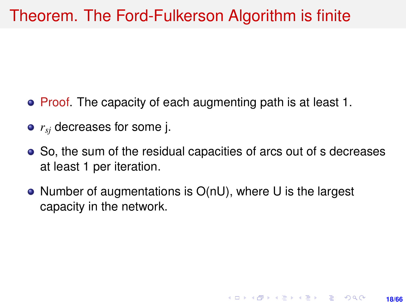### Theorem. The Ford-Fulkerson Algorithm is finite

- Proof. The capacity of each augmenting path is at least 1.
- *rsj* decreases for some j.
- So, the sum of the residual capacities of arcs out of s decreases at least 1 per iteration.

**18/66**

**KORKARK A BIK BIKA A GA A GA A GA A BIKA A BIKA A BIKA A BIKA A BIKA A BIKA A BIKA A BIKA A BIKA A BIKA A BIKA** 

● Number of augmentations is O(nU), where U is the largest capacity in the network.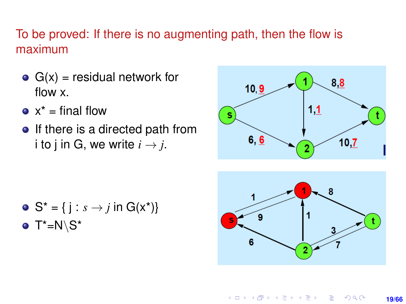#### To be proved: If there is no augmenting path, then the flow is maximum

- $G(x)$  = residual network for flow x.
- $\bullet$  x<sup>\*</sup> = final flow
- $\bullet$  If there is a directed path from i to j in G, we write  $i \rightarrow j$ .



\n- $$
S^* = \{ j : s \rightarrow j \text{ in } G(x^*) \}
$$
\n- $T^* = N \ S^*$
\n



**K ロ ト K 何 ト K ヨ ト K ヨ ト ニヨ** 

**19/66**

 $2Q$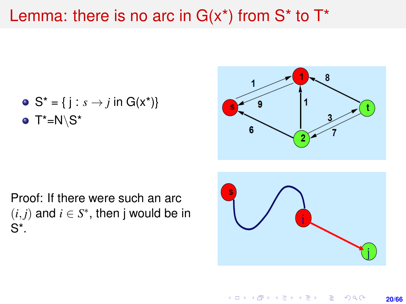#### Lemma: there is no arc in  $G(x^*)$  from  $S^*$  to  $T^*$

\n- $$
S^* = \{ j : s \rightarrow j \text{ in } G(x^*) \}
$$
\n- $T^* = N \setminus S^*$
\n



Proof: If there were such an arc  $(i, j)$  and  $i \in S^*$ , then j would be in S\*.



**≮ロ ▶ (伊 ▶ (ミ ▶ (王 )** 

**20/66**

 $2Q$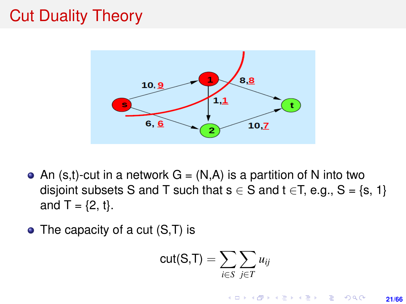## Cut Duality Theory



- An  $(s,t)$ -cut in a network  $G = (N,A)$  is a partition of N into two disjoint subsets S and T such that  $s \in S$  and  $t \in T$ , e.g.,  $S = \{s, 1\}$ and  $T = \{2, t\}.$
- $\bullet$  The capacity of a cut  $(S,T)$  is

$$
\text{cut}(S,T) = \sum_{i \in S} \sum_{j \in T} u_{ij}
$$

イロト イ押 トイヨ トイヨ トー

**TELEVISION**  $2Q$ 

**21/66**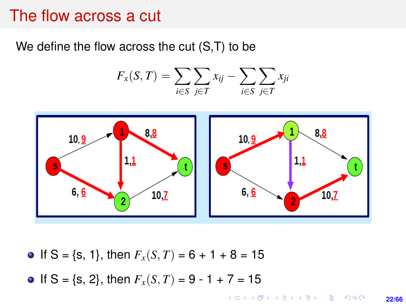#### The flow across a cut

We define the flow across the cut (S,T) to be

$$
F_x(S,T) = \sum_{i \in S} \sum_{j \in T} x_{ij} - \sum_{i \in S} \sum_{j \in T} x_{ji}
$$



- If  $S = \{s, 1\}$ , then  $F_x(S, T) = 6 + 1 + 8 = 15$
- If S = {s, 2}, then  $F_x(S, T) = 9 1 + 7 = 15$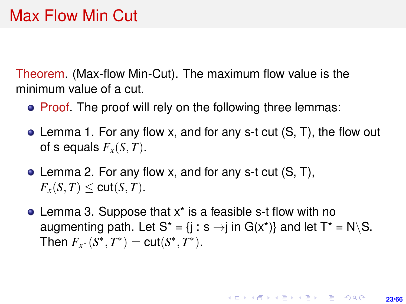Theorem. (Max-flow Min-Cut). The maximum flow value is the minimum value of a cut.

- Proof. The proof will rely on the following three lemmas:
- Lemma 1. For any flow x, and for any s-t cut (S, T), the flow out of s equals  $F_{\rm x}(S,T)$ .
- Lemma 2. For any flow x, and for any s-t cut (S, T),  $F_r(S,T) \leq \text{cut}(S,T)$ .
- Lemma 3. Suppose that x\* is a feasible s-t flow with no augmenting path. Let  $S^* = \{j : s \rightarrow j \text{ in } G(x^*)\}$  and let  $T^* = N \setminus S$ . Then  $F_{x^*}(S^*, T^*) = \text{cut}(S^*, T^*)$ .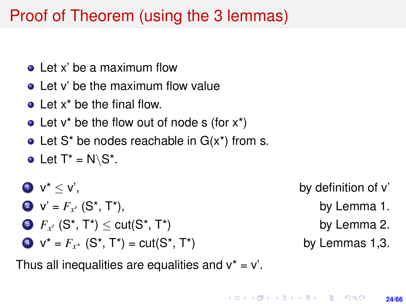# Proof of Theorem (using the 3 lemmas)

- Let x' be a maximum flow
- Let y' be the maximum flow value
- **o** Let x<sup>\*</sup> be the final flow.
- Let  $v^*$  be the flow out of node s (for  $x^*$ )
- Let  $S^*$  be nodes reachable in  $G(x^*)$  from s.
- Let  $T^* = N \setminus S^*$ .
- $\mathbf{v}^* < \mathbf{v}'$ , by definition of v'
	- 2  $V' = F_{x'}(S^*, T^*)$ ,
	- 3  $F_{x'}$   $(S^*, T^*) \leq \text{cut}(S^*, T^*)$  by Lemma 2.
	- $V^* = F_{x^*}$  (S<sup>\*</sup>, T<sup>\*</sup>) = cut(S<sup>\*</sup>, T<sup>\*</sup>) by Lemmas 1,3.
- - by Lemma 1.
	-
	-

Thus all inequalities are equalities and  $v^* = v'$ .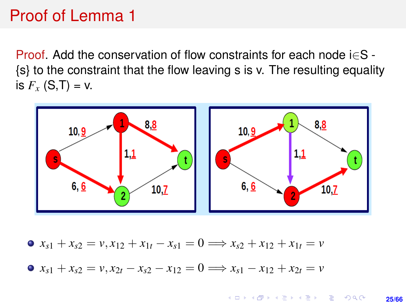### Proof of Lemma 1

Proof. Add the conservation of flow constraints for each node i∈S - {s} to the constraint that the flow leaving s is v. The resulting equality is  $F_{x}$  (S,T) = v.



 $\bullet$  *x*<sub>s1</sub> + *x*<sub>s2</sub> = *v*, *x*<sub>12</sub> + *x*<sub>1*t*</sub> − *x*<sub>s1</sub> = 0  $\Longrightarrow$  *x*<sub>s2</sub> + *x*<sub>12</sub> + *x*<sub>1*t*</sub> = *v*  $\bullet$   $x_{s1} + x_{s2} = v, x_{2t} - x_{s2} - x_{12} = 0 \Longrightarrow x_{s1} - x_{12} + x_{2t} = v$ 

> KO KARK KEK LE KORA **25/66**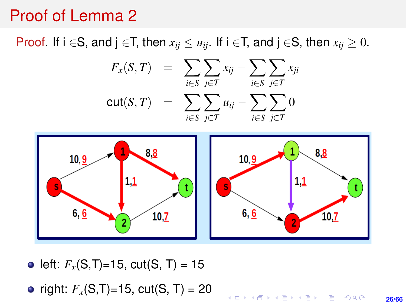#### Proof of Lemma 2

Proof. If  $i \in S$ , and  $j \in T$ , then  $x_{ij} \leq u_{ij}$ . If  $i \in T$ , and  $j \in S$ , then  $x_{ij} \geq 0$ .





• left:  $F_{\rm x}$ (S,T)=15, cut(S, T) = 15

• right:  $F_{\rm x}$ (S,T)=15, cut(S, T) = 20

**KORKARK A BIK BIKA A GA A GA A GA A BIKA A BIKA A BIKA A BIKA A BIKA A BIKA A BIKA A BIKA A BIKA A BIKA A BIKA 26/66**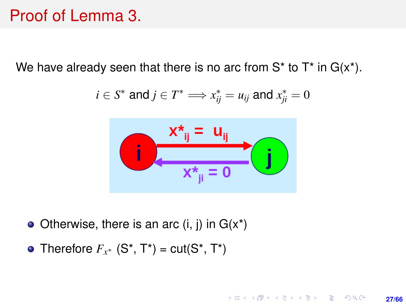### Proof of Lemma 3.

We have already seen that there is no arc from  $S^*$  to  $T^*$  in  $G(x^*)$ .

$$
i\in S^* \text{ and } j\in T^* \Longrightarrow x^*_{ij}=u_{ij} \text{ and } x^*_{ji}=0
$$



**27/66**

KO KARK KEK LE KORA

- Otherwise, there is an arc  $(i, j)$  in  $G(x^*)$
- Therefore  $F_{x^*}$  (S<sup>\*</sup>, T<sup>\*</sup>) = cut(S<sup>\*</sup>, T<sup>\*</sup>)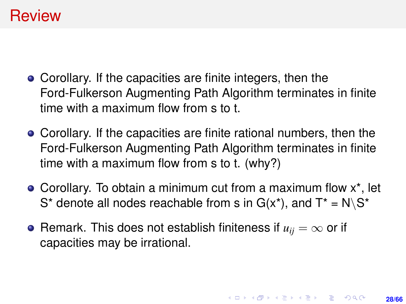#### **Review**

- Corollary. If the capacities are finite integers, then the Ford-Fulkerson Augmenting Path Algorithm terminates in finite time with a maximum flow from s to t.
- Corollary. If the capacities are finite rational numbers, then the Ford-Fulkerson Augmenting Path Algorithm terminates in finite time with a maximum flow from s to t. (why?)
- Corollary. To obtain a minimum cut from a maximum flow x\*, let S<sup>\*</sup> denote all nodes reachable from s in  $G(x^*)$ , and  $T^* = N \setminus S^*$
- Remark. This does not establish finiteness if  $u_{ii} = \infty$  or if capacities may be irrational.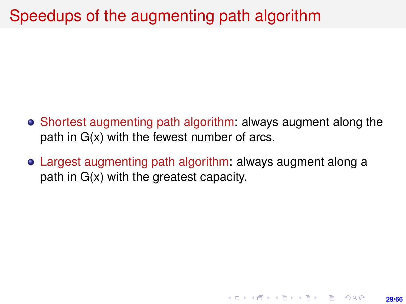# Speedups of the augmenting path algorithm

- Shortest augmenting path algorithm: always augment along the path in G(x) with the fewest number of arcs.
- Largest augmenting path algorithm: always augment along a path in G(x) with the greatest capacity.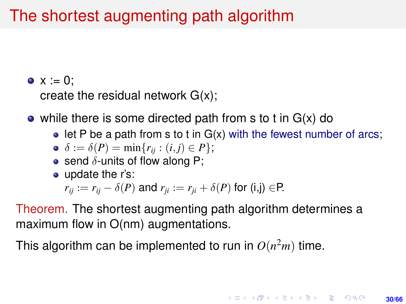# The shortest augmenting path algorithm

 $\bullet x := 0$ ;

create the residual network G(x);

- while there is some directed path from s to t in  $G(x)$  do
	- $\bullet$  let P be a path from s to t in G(x) with the fewest number of arcs;

$$
\bullet \ \delta := \delta(P) = \min\{r_{ij} : (i,j) \in P\};
$$

- **•** send  $\delta$ -units of flow along P;
- update the r's:

$$
r_{ij} := r_{ij} - \delta(P)
$$
 and  $r_{ji} := r_{ji} + \delta(P)$  for (i,j)  $\in$ P.

Theorem. The shortest augmenting path algorithm determines a maximum flow in O(nm) augmentations.

This algorithm can be implemented to run in  $O(n^2m)$  time.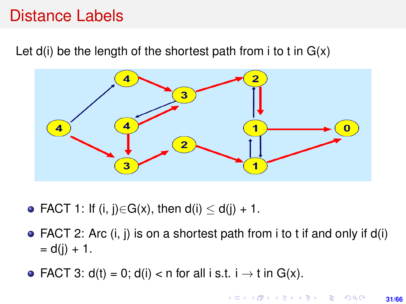### Distance Labels

Let  $d(i)$  be the length of the shortest path from i to t in  $G(x)$ 



- FACT 1: If (i, j) $\in$ G(x), then d(i)  $\le$  d(j) + 1.
- FACT 2: Arc  $(i, j)$  is on a shortest path from i to t if and only if  $d(i)$  $= d(i) + 1.$
- FACT 3:  $d(t) = 0$ ;  $d(i) < n$  for all i s.t.  $i \rightarrow t$  in  $G(x)$ .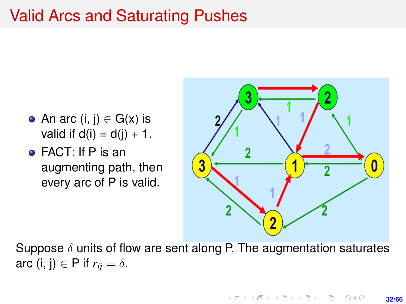## Valid Arcs and Saturating Pushes

- An arc  $(i, j) \in G(x)$  is valid if  $d(i) = d(i) + 1$ .
- FACT: If P is an augmenting path, then every arc of P is valid.



Suppose  $\delta$  units of flow are sent along P. The augmentation saturates arc (i, j)  $\in$  P if  $r_{ii} = \delta$ .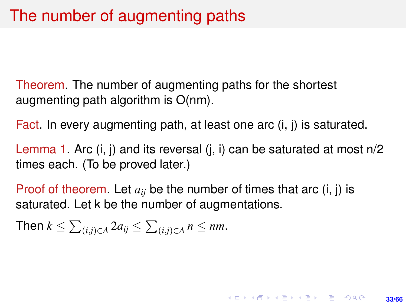Theorem. The number of augmenting paths for the shortest augmenting path algorithm is O(nm).

Fact. In every augmenting path, at least one arc (i, j) is saturated.

Lemma 1. Arc (i, j) and its reversal (j, i) can be saturated at most n/2 times each. (To be proved later.)

**33/66**

**KORKARK A BIK BIKA A GA A GA A GA A BIKA A BIKA A BIKA A BIKA A BIKA A BIKA A BIKA A BIKA A BIKA A BIKA A BIKA** 

Proof of theorem. Let  $a_{ij}$  be the number of times that arc  $(i, j)$  is saturated. Let k be the number of augmentations.

Then 
$$
k \le \sum_{(i,j)\in A} 2a_{ij} \le \sum_{(i,j)\in A} n \le nm
$$
.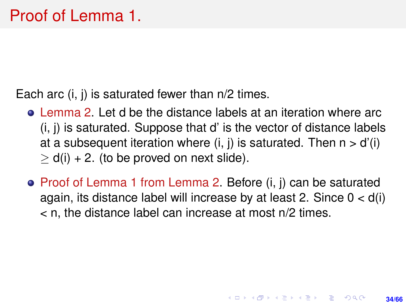Each arc (i, j) is saturated fewer than n/2 times.

- Lemma 2. Let d be the distance labels at an iteration where arc (i, j) is saturated. Suppose that d' is the vector of distance labels at a subsequent iteration where  $(i, j)$  is saturated. Then  $n > d'(i)$  $> d(i) + 2$ . (to be proved on next slide).
- Proof of Lemma 1 from Lemma 2. Before (i, j) can be saturated again, its distance label will increase by at least 2. Since  $0 < d(i)$ < n, the distance label can increase at most n/2 times.

**34/66**

**KORKARK A BIK BIKA A GA A GA A GA A BIKA A BIKA A BIKA A BIKA A BIKA A BIKA A BIKA A BIKA A BIKA A BIKA A BIKA**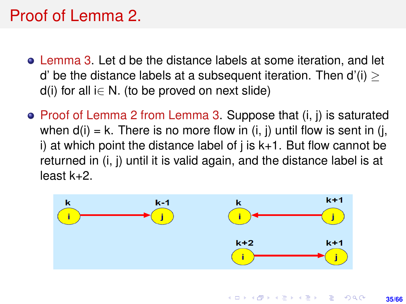# Proof of Lemma 2.

- Lemma 3. Let d be the distance labels at some iteration, and let d' be the distance labels at a subsequent iteration. Then  $d'(i)$  $d(i)$  for all i $\in$  N. (to be proved on next slide)
- $\bullet$  Proof of Lemma 2 from Lemma 3. Suppose that  $(i, j)$  is saturated when  $d(i) = k$ . There is no more flow in  $(i, j)$  until flow is sent in  $(i, j)$ i) at which point the distance label of  $i$  is  $k+1$ . But flow cannot be returned in (i, j) until it is valid again, and the distance label is at least k+2.



KO KA KA KE KA EKA SEMBA KO **35/66**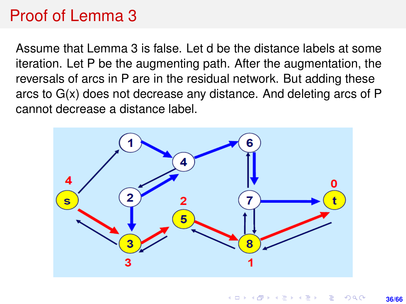## Proof of Lemma 3

Assume that Lemma 3 is false. Let d be the distance labels at some iteration. Let P be the augmenting path. After the augmentation, the reversals of arcs in P are in the residual network. But adding these arcs to G(x) does not decrease any distance. And deleting arcs of P cannot decrease a distance label.

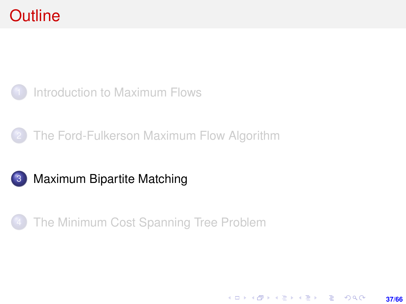### <span id="page-36-0"></span>**Outline**









**37/66**

K ロ ▶ K @ ▶ K 할 ▶ K 할 ▶ ... 할 → 9 Q @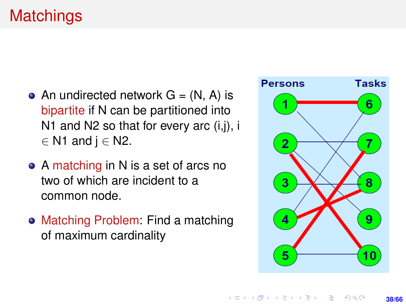- An undirected network  $G = (N, A)$  is bipartite if N can be partitioned into N1 and N2 so that for every arc (i,j), i  $∈$  N1 and j  $∈$  N2.
- A matching in N is a set of arcs no two of which are incident to a common node.
- Matching Problem: Find a matching of maximum cardinality

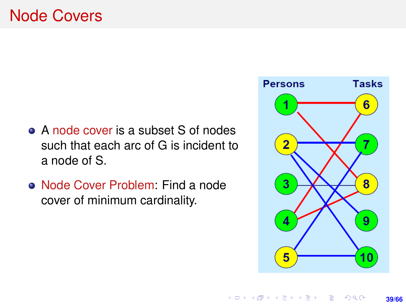- A node cover is a subset S of nodes such that each arc of G is incident to a node of S.
- Node Cover Problem: Find a node cover of minimum cardinality.

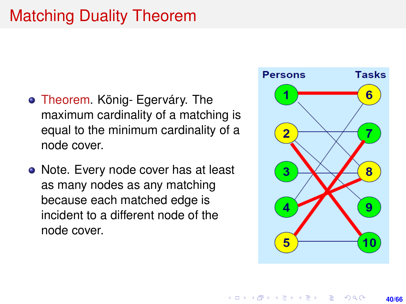# Matching Duality Theorem

- Theorem. König- Egerváry. The maximum cardinality of a matching is equal to the minimum cardinality of a node cover.
- Note. Every node cover has at least as many nodes as any matching because each matched edge is incident to a different node of the node cover.

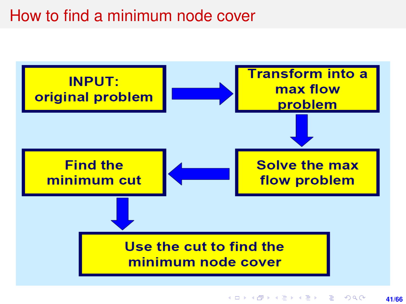### How to find a minimum node cover

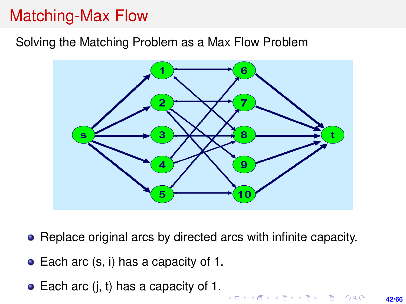# Matching-Max Flow

#### Solving the Matching Problem as a Max Flow Problem



- Replace original arcs by directed arcs with infinite capacity.
- Each arc (s, i) has a capacity of 1.
- $\bullet$  Each arc (i, t) has a capacity of 1.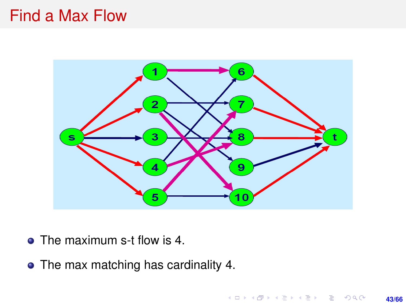#### Find a Max Flow



- The maximum s-t flow is 4.
- The max matching has cardinality 4.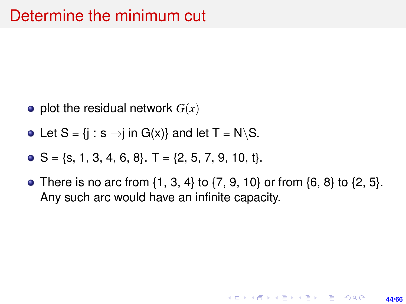- $\bullet$  plot the residual network  $G(x)$
- Let  $S = \{j : s \rightarrow j \text{ in } G(x)\}$  and let  $T = N \setminus S$ .
- $\bullet$  S = {s, 1, 3, 4, 6, 8}. T = {2, 5, 7, 9, 10, t}.
- There is no arc from  $\{1, 3, 4\}$  to  $\{7, 9, 10\}$  or from  $\{6, 8\}$  to  $\{2, 5\}$ . Any such arc would have an infinite capacity.

**44/66**

**KORKARK KERKER DRAM**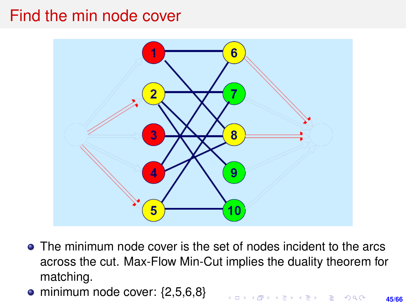#### Find the min node cover



- The minimum node cover is the set of nodes incident to the arcs across the cut. Max-Flow Min-Cut implies the duality theorem for matching.
- $\bullet$  minimum node cover:  $\{2,5,6,8\}$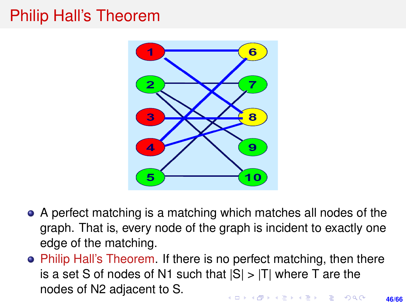## Philip Hall's Theorem



- A perfect matching is a matching which matches all nodes of the graph. That is, every node of the graph is incident to exactly one edge of the matching.
- Philip Hall's Theorem. If there is no perfect matching, then there is a set S of nodes of N1 such that  $|S| > |T|$  where T are the nodes of N2 adjacent to S.**KORKAR KERKER E VOLCH**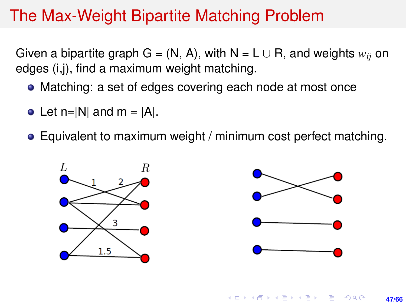## The Max-Weight Bipartite Matching Problem

Given a bipartite graph G = (N, A), with  $N = L \cup R$ , and weights  $w_{ii}$  on edges (i,j), find a maximum weight matching.

- Matching: a set of edges covering each node at most once
- Let  $n=|N|$  and  $m = |A|$ .
- Equivalent to maximum weight / minimum cost perfect matching.

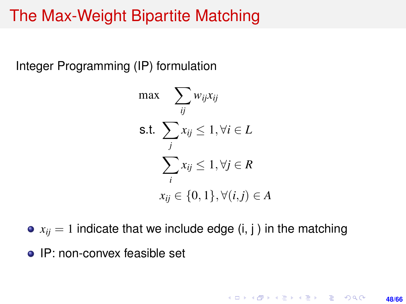### The Max-Weight Bipartite Matching

Integer Programming (IP) formulation

$$
\max \sum_{ij} w_{ij} x_{ij}
$$
\n
$$
\text{s.t. } \sum_{j} x_{ij} \le 1, \forall i \in L
$$
\n
$$
\sum_{i} x_{ij} \le 1, \forall j \in R
$$
\n
$$
x_{ij} \in \{0, 1\}, \forall (i, j) \in A
$$

 $\bullet$   $x_{ii} = 1$  indicate that we include edge (i, j) in the matching

• IP: non-convex feasible set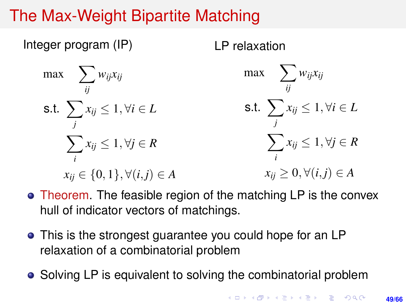# The Max-Weight Bipartite Matching

Integer program (IP)  $\max$   $\sum$ *ij wijxij* s.t.  $\sum$ *j xij* ≤ 1, ∀*i* ∈ *L*  $\sum$ *i xij* ≤ 1, ∀*j* ∈ *R*  $x_{ii}$  ∈ {0, 1},  $\forall (i, j) \in A$ LP relaxation max  $\sum$ *ij wijxij* s.t.  $\sum$ *j xij* ≤ 1, ∀*i* ∈ *L*  $\sum$ *i xij* ≤ 1, ∀*j* ∈ *R*  $x_{ii} \geq 0, \forall (i, j) \in A$ 

- Theorem. The feasible region of the matching LP is the convex hull of indicator vectors of matchings.
- This is the strongest guarantee you could hope for an LP relaxation of a combinatorial problem
- Solving LP is equivalent to solving the combinatorial problem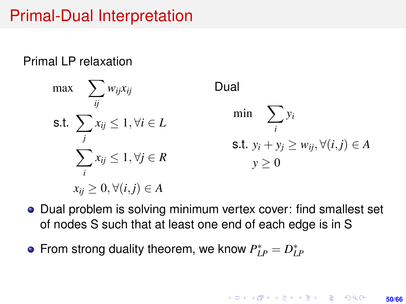## Primal-Dual Interpretation

Primal LP relaxation

$$
\max \sum_{ij} w_{ij} x_{ij} \qquad \text{Dual}
$$
\n
$$
\text{s.t. } \sum_{j} x_{ij} \le 1, \forall i \in L \qquad \min \sum_{i} y_{i}
$$
\n
$$
\sum_{i} x_{ij} \le 1, \forall j \in R \qquad \text{s.t. } y_{i} + y_{j} \ge w_{ij}, \forall (i, j) \in A
$$
\n
$$
x_{ij} \ge 0, \forall (i, j) \in A
$$

- Dual problem is solving minimum vertex cover: find smallest set of nodes S such that at least one end of each edge is in S
- From strong duality theorem, we know  $P_{LP}^* = D_{LP}^*$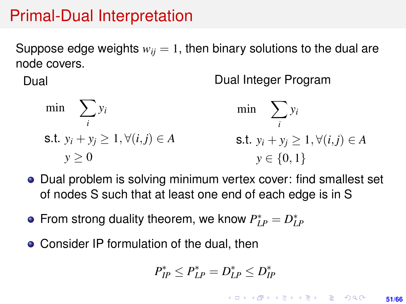### Primal-Dual Interpretation

Suppose edge weights  $w_{ii} = 1$ , then binary solutions to the dual are node covers.

Dual

Dual Integer Program

$$
\min \sum_{i} y_{i} \qquad \qquad \min \sum_{i} y_{i}
$$
\n
$$
\text{s.t. } y_{i} + y_{j} \ge 1, \forall (i, j) \in A \qquad \qquad \text{s.t. } y_{i} + y_{j} \ge 1, \forall (i, j) \in A
$$
\n
$$
y \ge 0 \qquad \qquad y \in \{0, 1\}
$$

- Dual problem is solving minimum vertex cover: find smallest set of nodes S such that at least one end of each edge is in S
- From strong duality theorem, we know  $P_{LP}^* = D_{LP}^*$
- Consider IP formulation of the dual, then

$$
P_{IP}^* \leq P_{LP}^* = D_{LP}^* \leq D_{IP}^*
$$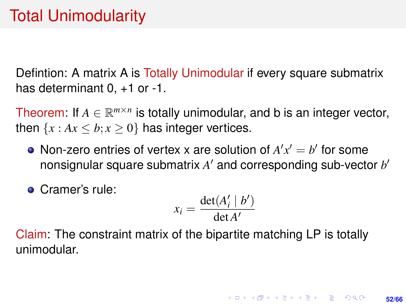Defintion: A matrix A is Totally Unimodular if every square submatrix has determinant 0,  $+1$  or  $-1$ .

Theorem: If  $A \in \mathbb{R}^{m \times n}$  is totally unimodular, and b is an integer vector, then  $\{x : Ax \leq b; x \geq 0\}$  has integer vertices.

- Non-zero entries of vertex x are solution of  $A'x' = b'$  for some nonsignular square submatrix A' and corresponding sub-vector b'
- Cramer's rule:

$$
x_i = \frac{\det(A'_i \mid b')}{\det A'}
$$

Claim: The constraint matrix of the bipartite matching LP is totally unimodular.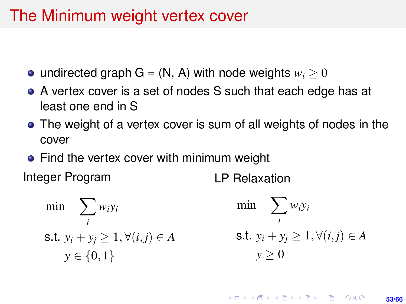## The Minimum weight vertex cover

- undirected graph  $G = (N, A)$  with node weights  $w_i > 0$
- A vertex cover is a set of nodes S such that each edge has at least one end in S
- The weight of a vertex cover is sum of all weights of nodes in the cover
- Find the vertex cover with minimum weight

Integer Program

LP Relaxation

$$
\begin{aligned}\n\min \quad & \sum_{i} w_i y_i & \quad \min \quad & \sum_{i} w_i y_i \\
\text{s.t. } & y_i + y_j \ge 1, \forall (i, j) \in A & \quad \text{s.t. } y_i + y_j \ge 1, \forall (i, j) \in A \\
& y \ge 0\n\end{aligned}
$$

**KORKARK A BIK BIKA A GA A GA A GA A BIKA A BIKA A BIKA A BIKA A BIKA A BIKA A BIKA A BIKA A BIKA A BIKA A BIKA 53/66**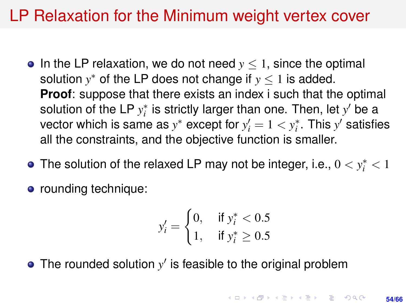## LP Relaxation for the Minimum weight vertex cover

- In the LP relaxation, we do not need  $y < 1$ , since the optimal solution  $y^*$  of the LP does not change if  $y \leq 1$  is added. **Proof:** suppose that there exists an index i such that the optimal solution of the LP  $y_i^*$  is strictly larger than one. Then, let  $y'$  be a vector which is same as  $y^*$  except for  $y'_i = 1 < y^*_i$ . This  $y'$  satisfies all the constraints, and the objective function is smaller.
- The solution of the relaxed LP may not be integer, i.e.,  $0 < y^*_i < 1$
- rounding technique:

$$
y_i' = \begin{cases} 0, & \text{if } y_i^* < 0.5\\ 1, & \text{if } y_i^* \ge 0.5 \end{cases}
$$

The rounded solution  $y'$  is feasible to the original problem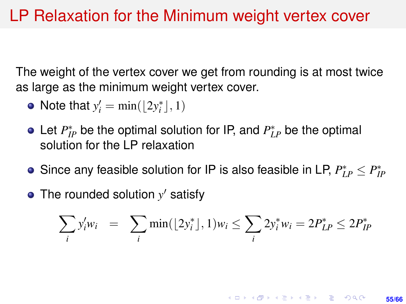The weight of the vertex cover we get from rounding is at most twice as large as the minimum weight vertex cover.

- Note that  $y'_i = \min(\lfloor 2y_i^* \rfloor, 1)$
- Let  $P_{IP}^*$  be the optimal solution for IP, and  $P_{LP}^*$  be the optimal solution for the LP relaxation
- Since any feasible solution for IP is also feasible in LP,  $P_{LP}^* \leq P_{IP}^*$
- The rounded solution  $y'$  satisfy

$$
\sum_{i} y'_{i} w_{i} = \sum_{i} \min(\lfloor 2y_{i}^{*} \rfloor, 1) w_{i} \le \sum_{i} 2y_{i}^{*} w_{i} = 2P_{LP}^{*} \le 2P_{IP}^{*}
$$

**KORKARK KERKER DRAM** 

**55/66**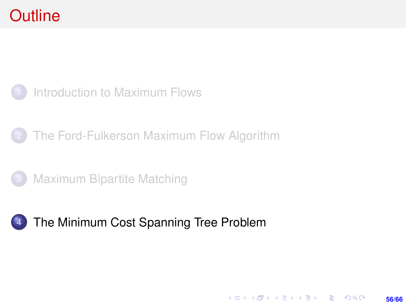## <span id="page-55-0"></span>**Outline**



- [The Ford-Fulkerson Maximum Flow Algorithm](#page-9-0)
- **[Maximum Bipartite Matching](#page-36-0)**

#### 4 [The Minimum Cost Spanning Tree Problem](#page-55-0)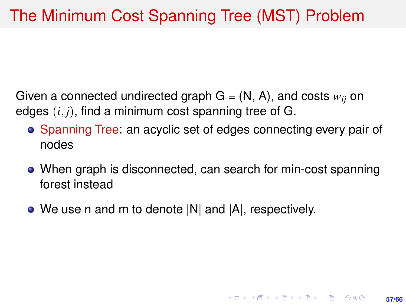Given a connected undirected graph  $G = (N, A)$ , and costs  $w_{ii}$  on edges (*i*, *j*), find a minimum cost spanning tree of G.

- Spanning Tree: an acyclic set of edges connecting every pair of nodes
- When graph is disconnected, can search for min-cost spanning forest instead

**57/66**

**KORKARK KERKER DRAM** 

• We use n and m to denote  $|N|$  and  $|A|$ , respectively.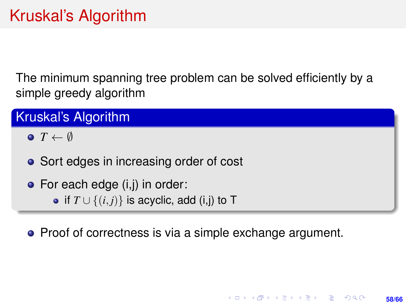The minimum spanning tree problem can be solved efficiently by a simple greedy algorithm

Kruskal's Algorithm

 $\bullet$  *T*  $\leftarrow$  Ø

• Sort edges in increasing order of cost

• For each edge (i,j) in order:

• if  $T \cup \{(i, j)\}\$ is acyclic, add (i,j) to T

• Proof of correctness is via a simple exchange argument.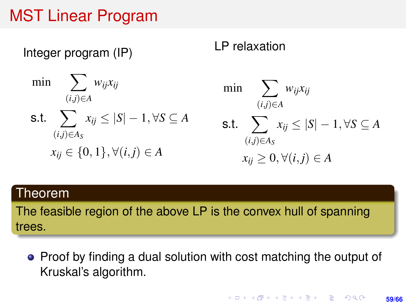## MST Linear Program

Integer program (IP)

$$
\min \sum_{(i,j)\in A} w_{ij} x_{ij}
$$
\n
$$
\text{s.t.} \sum_{(i,j)\in A_S} x_{ij} \le |S| - 1, \forall S \subseteq A
$$
\n
$$
x_{ij} \in \{0, 1\}, \forall (i, j) \in A
$$

#### LP relaxation

$$
\min \sum_{(i,j)\in A} w_{ij} x_{ij}
$$
\n
$$
\text{s.t.} \sum_{(i,j)\in A_S} x_{ij} \le |S| - 1, \forall S \subseteq A
$$
\n
$$
x_{ij} \ge 0, \forall (i,j) \in A
$$

#### Theorem

The feasible region of the above LP is the convex hull of spanning trees.

• Proof by finding a dual solution with cost matching the output of Kruskal's algorithm.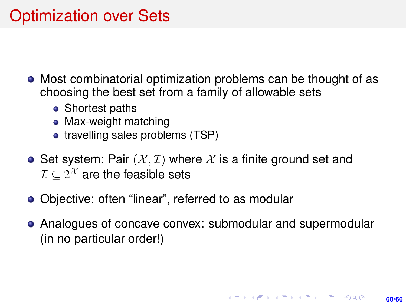# Optimization over Sets

- Most combinatorial optimization problems can be thought of as choosing the best set from a family of allowable sets
	- Shortest paths
	- Max-weight matching
	- travelling sales problems (TSP)
- Set system: Pair  $(X, \mathcal{I})$  where X is a finite ground set and  $\mathcal{I} \subseteq 2^{\mathcal{X}}$  are the feasible sets
- Obiective: often "linear", referred to as modular
- Analogues of concave convex: submodular and supermodular (in no particular order!)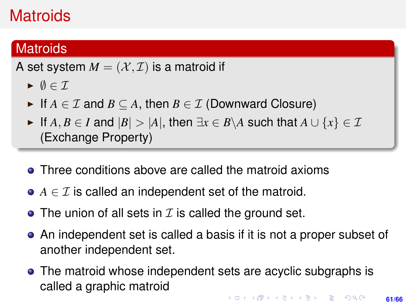# **Matroids**

#### **Matroids**

A set system  $M = (\mathcal{X}, \mathcal{I})$  is a matroid if

- $\blacktriangleright \emptyset \in \mathcal{I}$
- If  $A \in \mathcal{I}$  and  $B \subseteq A$ , then  $B \in \mathcal{I}$  (Downward Closure)
- $\blacktriangleright$  If *A*, *B* ∈ *I* and  $|B|$  > |*A*|, then  $\exists x \in B \setminus A$  such that  $A \cup \{x\} \in \mathcal{I}$ (Exchange Property)
- Three conditions above are called the matroid axioms
- $\bullet$  *A*  $\in$  *T* is called an independent set of the matroid.
- The union of all sets in  $\mathcal I$  is called the ground set.
- An independent set is called a basis if it is not a proper subset of another independent set.
- The matroid whose independent sets are acyclic subgraphs is called a graphic matroid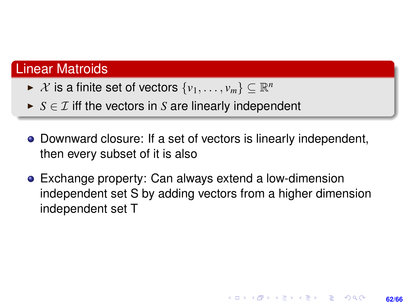#### Linear Matroids

- ►  $X$  is a finite set of vectors  $\{v_1, \ldots, v_m\} \subseteq \mathbb{R}^n$
- $\triangleright$  *S*  $\in$  *T* iff the vectors in *S* are linearly independent
- Downward closure: If a set of vectors is linearly independent, then every subset of it is also
- Exchange property: Can always extend a low-dimension independent set S by adding vectors from a higher dimension independent set T

**62/66**

**KORKARK A BIK BIKA A GA A GA A GA A BIKA A BIKA A BIKA A BIKA A BIKA A BIKA A BIKA A BIKA A BIKA A BIKA A BIKA**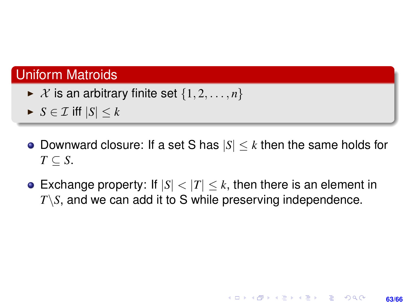#### Uniform Matroids

- $\blacktriangleright$  X is an arbitrary finite set  $\{1, 2, \ldots, n\}$
- $\blacktriangleright$  *S*  $\in$  *T* iff  $|S|$   $\lt k$
- Downward closure: If a set S has  $|S| \leq k$  then the same holds for  $T \subset S$ .
- **Exchange property:** If  $|S| < |T| \le k$ , then there is an element in *T*\*S*, and we can add it to S while preserving independence.

**63/66**

**KORKARK KERKER DRAM**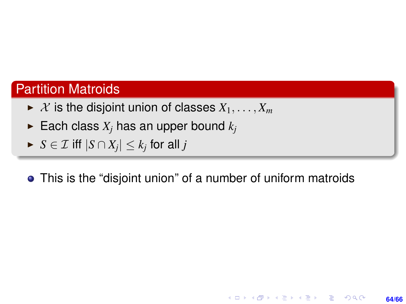#### Partition Matroids

- $\triangleright$  *X* is the disjoint union of classes  $X_1, \ldots, X_m$
- Each class  $X_i$  has an upper bound  $k_i$
- $\blacktriangleright$   $S \in \mathcal{I}$  iff  $|S \cap X_j| \leq k_j$  for all  $j$

#### This is the "disjoint union" of a number of uniform matroids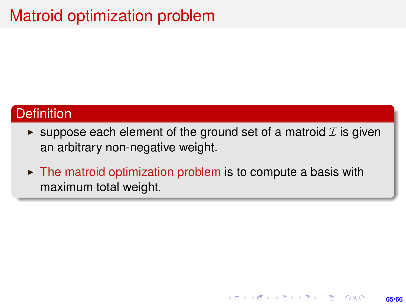# Matroid optimization problem

#### **Definition**

 $\triangleright$  suppose each element of the ground set of a matroid  $\mathcal I$  is given an arbitrary non-negative weight.

**65/66**

KORK ERKER ERKER

 $\triangleright$  The matroid optimization problem is to compute a basis with maximum total weight.